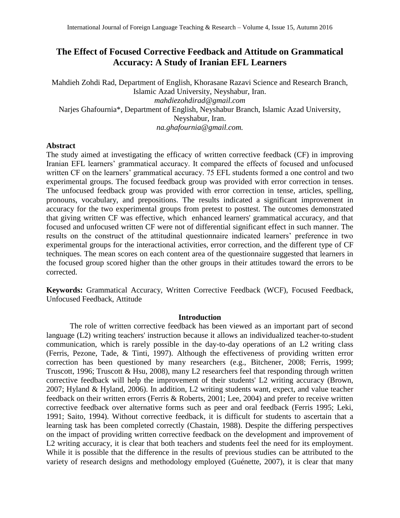# **The Effect of Focused Corrective Feedback and Attitude on Grammatical Accuracy: A Study of Iranian EFL Learners**

Mahdieh Zohdi Rad, Department of English, Khorasane Razavi Science and Research Branch, Islamic Azad University, Neyshabur, Iran. *[mahdiezohdirad@gmail.com](mailto:mahdiezohdirad@gmail.com)* Narjes Ghafournia\*, Department of English, Neyshabur Branch, Islamic Azad University, Neyshabur, Iran. *[na.ghafournia@gmail.com.](mailto:na.ghafournia@gmail.com)*

#### **Abstract**

The study aimed at investigating the efficacy of written corrective feedback (CF) in improving Iranian EFL learners' grammatical accuracy. It compared the effects of focused and unfocused written CF on the learners' grammatical accuracy. 75 EFL students formed a one control and two experimental groups. The focused feedback group was provided with error correction in tenses. The unfocused feedback group was provided with error correction in tense, articles, spelling, pronouns, vocabulary, and prepositions. The results indicated a significant improvement in accuracy for the two experimental groups from pretest to posttest. The outcomes demonstrated that giving written CF was effective, which enhanced learners' grammatical accuracy, and that focused and unfocused written CF were not of differential significant effect in such manner. The results on the construct of the attitudinal questionnaire indicated learners' preference in two experimental groups for the interactional activities, error correction, and the different type of CF techniques. The mean scores on each content area of the questionnaire suggested that learners in the focused group scored higher than the other groups in their attitudes toward the errors to be corrected.

**Keywords:** Grammatical Accuracy, Written Corrective Feedback (WCF), Focused Feedback, Unfocused Feedback, Attitude

#### **Introduction**

The role of written corrective feedback has been viewed as an important part of second language (L2) writing teachers' instruction because it allows an individualized teacher-to-student communication, which is rarely possible in the day-to-day operations of an L2 writing class (Ferris, Pezone, Tade, & Tinti, 1997). Although the effectiveness of providing written error correction has been questioned by many researchers (e.g., Bitchener, 2008; Ferris, 1999; Truscott, 1996; Truscott & Hsu, 2008), many L2 researchers feel that responding through written corrective feedback will help the improvement of their students' L2 writing accuracy (Brown, 2007; Hyland & Hyland, 2006). In addition, L2 writing students want, expect, and value teacher feedback on their written errors (Ferris & Roberts, 2001; Lee, 2004) and prefer to receive written corrective feedback over alternative forms such as peer and oral feedback (Ferris 1995; Leki, 1991; Saito, 1994). Without corrective feedback, it is difficult for students to ascertain that a learning task has been completed correctly (Chastain, 1988). Despite the differing perspectives on the impact of providing written corrective feedback on the development and improvement of L2 writing accuracy, it is clear that both teachers and students feel the need for its employment. While it is possible that the difference in the results of previous studies can be attributed to the variety of research designs and methodology employed (Guénette, 2007), it is clear that many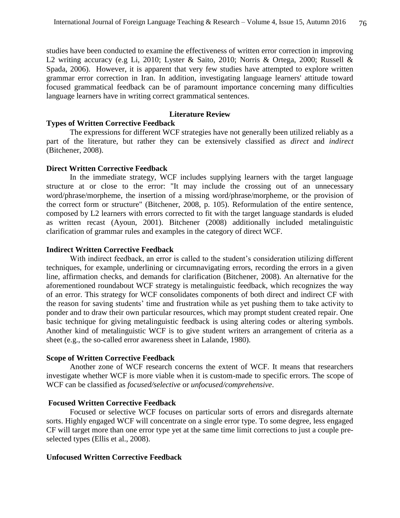studies have been conducted to examine the effectiveness of written error correction in improving L2 writing accuracy (e.g Li, 2010; Lyster & Saito, 2010; Norris & Ortega, 2000; Russell & Spada, 2006). However, it is apparent that very few studies have attempted to explore written grammar error correction in Iran. In addition, investigating language learners' attitude toward focused grammatical feedback can be of paramount importance concerning many difficulties language learners have in writing correct grammatical sentences.

### **Literature Review**

### **Types of Written Corrective Feedback**

The expressions for different WCF strategies have not generally been utilized reliably as a part of the literature, but rather they can be extensively classified as *direct* and *indirect* (Bitchener, 2008).

### **Direct Written Corrective Feedback**

In the immediate strategy, WCF includes supplying learners with the target language structure at or close to the error: "It may include the crossing out of an unnecessary word/phrase/morpheme, the insertion of a missing word/phrase/morpheme, or the provision of the correct form or structure" (Bitchener, 2008, p. 105). Reformulation of the entire sentence, composed by L2 learners with errors corrected to fit with the target language standards is eluded as written recast (Ayoun, 2001). Bitchener (2008) additionally included metalinguistic clarification of grammar rules and examples in the category of direct WCF.

### **Indirect Written Corrective Feedback**

With indirect feedback, an error is called to the student's consideration utilizing different techniques, for example, underlining or circumnavigating errors, recording the errors in a given line, affirmation checks, and demands for clarification (Bitchener, 2008). An alternative for the aforementioned roundabout WCF strategy is metalinguistic feedback, which recognizes the way of an error. This strategy for WCF consolidates components of both direct and indirect CF with the reason for saving students' time and frustration while as yet pushing them to take activity to ponder and to draw their own particular resources, which may prompt student created repair. One basic technique for giving metalinguistic feedback is using altering codes or altering symbols. Another kind of metalinguistic WCF is to give student writers an arrangement of criteria as a sheet (e.g., the so-called error awareness sheet in Lalande, 1980).

# **Scope of Written Corrective Feedback**

Another zone of WCF research concerns the extent of WCF. It means that researchers investigate whether WCF is more viable when it is custom-made to specific errors. The scope of WCF can be classified as *focused/selective* or *unfocused/comprehensive*.

# **Focused Written Corrective Feedback**

Focused or selective WCF focuses on particular sorts of errors and disregards alternate sorts. Highly engaged WCF will concentrate on a single error type. To some degree, less engaged CF will target more than one error type yet at the same time limit corrections to just a couple preselected types (Ellis et al., 2008).

### **Unfocused Written Corrective Feedback**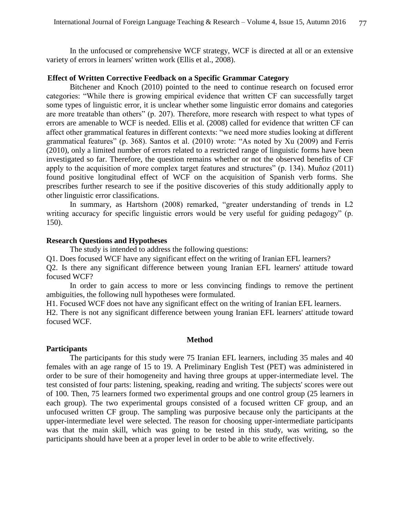In the unfocused or comprehensive WCF strategy, WCF is directed at all or an extensive variety of errors in learners' written work (Ellis et al., 2008).

#### **Effect of Written Corrective Feedback on a Specific Grammar Category**

Bitchener and Knoch (2010) pointed to the need to continue research on focused error categories: "While there is growing empirical evidence that written CF can successfully target some types of linguistic error, it is unclear whether some linguistic error domains and categories are more treatable than others" (p. 207). Therefore, more research with respect to what types of errors are amenable to WCF is needed. Ellis et al. (2008) called for evidence that written CF can affect other grammatical features in different contexts: "we need more studies looking at different grammatical features" (p. 368). Santos et al. (2010) wrote: "As noted by Xu (2009) and Ferris (2010), only a limited number of errors related to a restricted range of linguistic forms have been investigated so far. Therefore, the question remains whether or not the observed benefits of CF apply to the acquisition of more complex target features and structures" (p. 134). Muñoz (2011) found positive longitudinal effect of WCF on the acquisition of Spanish verb forms. She prescribes further research to see if the positive discoveries of this study additionally apply to other linguistic error classifications.

In summary, as Hartshorn (2008) remarked, "greater understanding of trends in L2 writing accuracy for specific linguistic errors would be very useful for guiding pedagogy" (p. 150).

#### **Research Questions and Hypotheses**

The study is intended to address the following questions:

Q1. Does focused WCF have any significant effect on the writing of Iranian EFL learners?

Q2. Is there any significant difference between young Iranian EFL learners' attitude toward focused WCF?

In order to gain access to more or less convincing findings to remove the pertinent ambiguities, the following null hypotheses were formulated.

H1. Focused WCF does not have any significant effect on the writing of Iranian EFL learners.

H2. There is not any significant difference between young Iranian EFL learners' attitude toward focused WCF.

#### **Method**

### **Participants**

The participants for this study were 75 Iranian EFL learners, including 35 males and 40 females with an age range of 15 to 19. A Preliminary English Test (PET) was administered in order to be sure of their homogeneity and having three groups at upper-intermediate level. The test consisted of four parts: listening, speaking, reading and writing. The subjects' scores were out of 100. Then, 75 learners formed two experimental groups and one control group (25 learners in each group). The two experimental groups consisted of a focused written CF group, and an unfocused written CF group. The sampling was purposive because only the participants at the upper-intermediate level were selected. The reason for choosing upper-intermediate participants was that the main skill, which was going to be tested in this study, was writing, so the participants should have been at a proper level in order to be able to write effectively.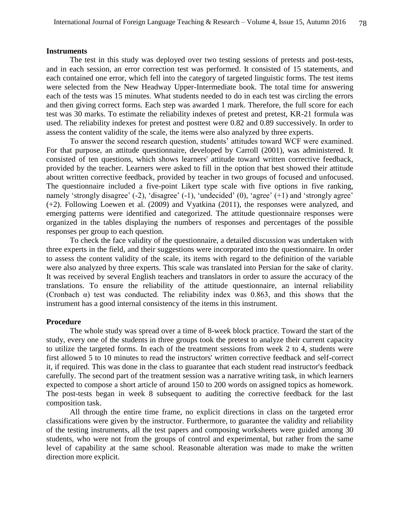#### **Instruments**

The test in this study was deployed over two testing sessions of pretests and post-tests, and in each session, an error correction test was performed. It consisted of 15 statements, and each contained one error, which fell into the category of targeted linguistic forms. The test items were selected from the New Headway Upper-Intermediate book. The total time for answering each of the tests was 15 minutes. What students needed to do in each test was circling the errors and then giving correct forms. Each step was awarded 1 mark. Therefore, the full score for each test was 30 marks. To estimate the reliability indexes of pretest and pretest, KR-21 formula was used. The reliability indexes for pretest and posttest were 0.82 and 0.89 successively. In order to assess the content validity of the scale, the items were also analyzed by three experts.

To answer the second research question, students' attitudes toward WCF were examined. For that purpose, an attitude questionnaire, developed by Carroll (2001), was administered. It consisted of ten questions, which shows learners' attitude toward written corrective feedback, provided by the teacher. Learners were asked to fill in the option that best showed their attitude about written corrective feedback, provided by teacher in two groups of focused and unfocused. The questionnaire included a five-point Likert type scale with five options in five ranking, namely 'strongly disagree' (-2), 'disagree' (-1), 'undecided' (0), 'agree' (+1) and 'strongly agree' (+2). Following Loewen et al. (2009) and Vyatkina (2011), the responses were analyzed, and emerging patterns were identified and categorized. The attitude questionnaire responses were organized in the tables displaying the numbers of responses and percentages of the possible responses per group to each question.

To check the face validity of the questionnaire, a detailed discussion was undertaken with three experts in the field, and their suggestions were incorporated into the questionnaire. In order to assess the content validity of the scale, its items with regard to the definition of the variable were also analyzed by three experts. This scale was translated into Persian for the sake of clarity. It was received by several English teachers and translators in order to assure the accuracy of the translations. To ensure the reliability of the attitude questionnaire, an internal reliability (Cronbach  $\alpha$ ) test was conducted. The reliability index was 0.863, and this shows that the instrument has a good internal consistency of the items in this instrument.

### **Procedure**

The whole study was spread over a time of 8-week block practice. Toward the start of the study, every one of the students in three groups took the pretest to analyze their current capacity to utilize the targeted forms. In each of the treatment sessions from week 2 to 4, students were first allowed 5 to 10 minutes to read the instructors' written corrective feedback and self-correct it, if required. This was done in the class to guarantee that each student read instructor's feedback carefully. The second part of the treatment session was a narrative writing task, in which learners expected to compose a short article of around 150 to 200 words on assigned topics as homework. The post-tests began in week 8 subsequent to auditing the corrective feedback for the last composition task.

All through the entire time frame, no explicit directions in class on the targeted error classifications were given by the instructor. Furthermore, to guarantee the validity and reliability of the testing instruments, all the test papers and composing worksheets were guided among 30 students, who were not from the groups of control and experimental, but rather from the same level of capability at the same school. Reasonable alteration was made to make the written direction more explicit.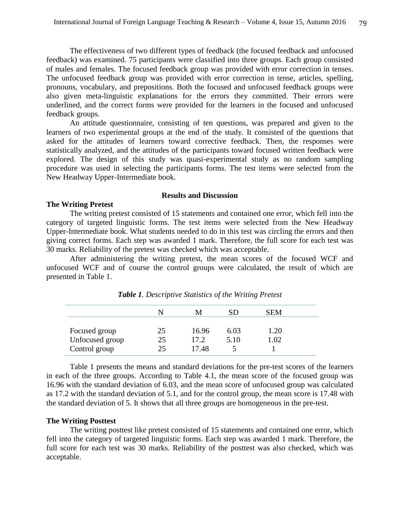The effectiveness of two different types of feedback (the focused feedback and unfocused feedback) was examined. 75 participants were classified into three groups. Each group consisted of males and females. The focused feedback group was provided with error correction in tenses. The unfocused feedback group was provided with error correction in tense, articles, spelling, pronouns, vocabulary, and prepositions. Both the focused and unfocused feedback groups were also given meta-linguistic explanations for the errors they committed. Their errors were underlined, and the correct forms were provided for the learners in the focused and unfocused feedback groups.

An attitude questionnaire, consisting of ten questions, was prepared and given to the learners of two experimental groups at the end of the study. It consisted of the questions that asked for the attitudes of learners toward corrective feedback. Then, the responses were statistically analyzed, and the attitudes of the participants toward focused written feedback were explored. The design of this study was quasi-experimental study as no random sampling procedure was used in selecting the participants forms. The test items were selected from the New Headway Upper-Intermediate book.

#### **Results and Discussion**

### **The Writing Pretest**

The writing pretest consisted of 15 statements and contained one error, which fell into the category of targeted linguistic forms. The test items were selected from the New Headway Upper-Intermediate book. What students needed to do in this test was circling the errors and then giving correct forms. Each step was awarded 1 mark. Therefore, the full score for each test was 30 marks. Reliability of the pretest was checked which was acceptable.

After administering the writing pretest, the mean scores of the focused WCF and unfocused WCF and of course the control groups were calculated, the result of which are presented in Table 1.

|                 |    |       | SD   | <b>SEM</b> |
|-----------------|----|-------|------|------------|
|                 |    |       |      |            |
| Focused group   | 25 | 16.96 | 6.03 | 1.20       |
| Unfocused group | 25 | 17.2  | 5.10 | 1.02       |
| Control group   | 25 | 17.48 |      |            |

*Table 1. Descriptive Statistics of the Writing Pretest*

Table 1 presents the means and standard deviations for the pre-test scores of the learners in each of the three groups. According to Table 4.1, the mean score of the focused group was 16.96 with the standard deviation of 6.03, and the mean score of unfocused group was calculated as 17.2 with the standard deviation of 5.1, and for the control group, the mean score is 17.48 with the standard deviation of 5. It shows that all three groups are homogeneous in the pre-test.

# **The Writing Posttest**

The writing posttest like pretest consisted of 15 statements and contained one error, which fell into the category of targeted linguistic forms. Each step was awarded 1 mark. Therefore, the full score for each test was 30 marks. Reliability of the posttest was also checked, which was acceptable.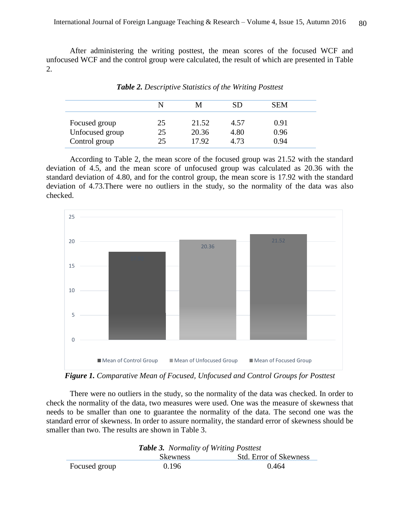After administering the writing posttest, the mean scores of the focused WCF and unfocused WCF and the control group were calculated, the result of which are presented in Table 2.

|                 | N  |       | SD   | <b>SEM</b> |  |
|-----------------|----|-------|------|------------|--|
| Focused group   | 25 | 21.52 | 4.57 | 0.91       |  |
| Unfocused group | 25 | 20.36 | 4.80 | 0.96       |  |
| Control group   | 25 | 1792  | 4.73 | 0.94       |  |

*Table 2. Descriptive Statistics of the Writing Posttest*

According to Table 2, the mean score of the focused group was 21.52 with the standard deviation of 4.5, and the mean score of unfocused group was calculated as 20.36 with the standard deviation of 4.80, and for the control group, the mean score is 17.92 with the standard deviation of 4.73.There were no outliers in the study, so the normality of the data was also checked.



*Figure 1. Comparative Mean of Focused, Unfocused and Control Groups for Posttest*

There were no outliers in the study, so the normality of the data was checked. In order to check the normality of the data, two measures were used. One was the measure of skewness that needs to be smaller than one to guarantee the normality of the data. The second one was the standard error of skewness. In order to assure normality, the standard error of skewness should be smaller than two. The results are shown in Table 3.

|               | <b>Table 3.</b> Normality of Writing Posttest |                               |  |  |  |
|---------------|-----------------------------------------------|-------------------------------|--|--|--|
|               | Skewness                                      | <b>Std. Error of Skewness</b> |  |  |  |
| Focused group | 0.196                                         | 0.464                         |  |  |  |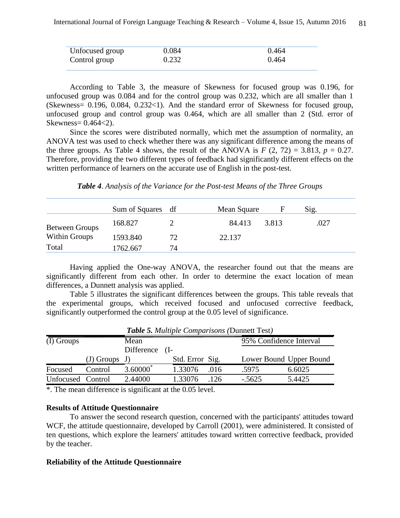| Unfocused group | 0.084 | 0.464 |
|-----------------|-------|-------|
| Control group   | 0.232 | 0.464 |

According to Table 3, the measure of Skewness for focused group was 0.196, for unfocused group was 0.084 and for the control group was 0.232, which are all smaller than 1 (Skewness=  $0.196$ ,  $0.084$ ,  $0.232<1$ ). And the standard error of Skewness for focused group, unfocused group and control group was 0.464, which are all smaller than 2 (Std. error of Skewness=  $0.464<2$ ).

Since the scores were distributed normally, which met the assumption of normality, an ANOVA test was used to check whether there was any significant difference among the means of the three groups. As Table 4 shows, the result of the ANOVA is  $F(2, 72) = 3.813$ ,  $p = 0.27$ . Therefore, providing the two different types of feedback had significantly different effects on the written performance of learners on the accurate use of English in the post-test.

*Table 4*. *Analysis of the Variance for the Post-test Means of the Three Groups*

|                       | Sum of Squares df |    | Mean Square | F     | Sig. |  |
|-----------------------|-------------------|----|-------------|-------|------|--|
| <b>Between Groups</b> | 168.827           |    | 84.413      | 3.813 | .027 |  |
| Within Groups         | 1593.840          | 72 | 22.137      |       |      |  |
| Total                 | 1762.667          | 74 |             |       |      |  |

Having applied the One-way ANOVA, the researcher found out that the means are significantly different from each other. In order to determine the exact location of mean differences, a Dunnett analysis was applied.

Table 5 illustrates the significant differences between the groups. This table reveals that the experimental groups, which received focused and unfocused corrective feedback, significantly outperformed the control group at the 0.05 level of significance.

|                        | <b>Tubic 9.</b> Multiple Comparisons (Dunnell Test) |                |                 |      |                         |        |  |  |
|------------------------|-----------------------------------------------------|----------------|-----------------|------|-------------------------|--------|--|--|
| $\overline{(I)$ Groups |                                                     | Mean           |                 |      | 95% Confidence Interval |        |  |  |
|                        |                                                     | Difference (I- |                 |      |                         |        |  |  |
|                        | $(J)$ Groups $J)$                                   |                | Std. Error Sig. |      | Lower Bound Upper Bound |        |  |  |
| Focused                | Control                                             | $3.60000^*$    | 1.33076         | .016 | .5975                   | 6.6025 |  |  |
| Unfocused Control      |                                                     | 2.44000        | 1.33076         | 126  | $-.5625$                | 5.4425 |  |  |

*Table 5. Multiple Comparisons (*Dunnett Test*)*

\*. The mean difference is significant at the 0.05 level.

#### **Results of Attitude Questionnaire**

To answer the second research question, concerned with the participants' attitudes toward WCF, the attitude questionnaire, developed by Carroll (2001), were administered. It consisted of ten questions, which explore the learners' attitudes toward written corrective feedback, provided by the teacher.

### **Reliability of the Attitude Questionnaire**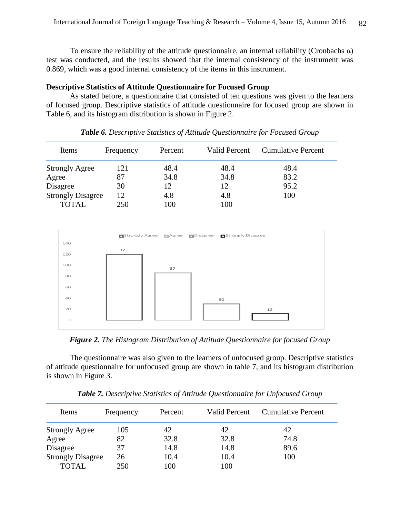To ensure the reliability of the attitude questionnaire, an internal reliability (Cronbachs  $\alpha$ ) test was conducted, and the results showed that the internal consistency of the instrument was 0.869, which was a good internal consistency of the items in this instrument.

# **Descriptive Statistics of Attitude Questionnaire for Focused Group**

As stated before, a questionnaire that consisted of ten questions was given to the learners of focused group. Descriptive statistics of attitude questionnaire for focused group are shown in Table 6, and its histogram distribution is shown in Figure 2.

| Items                    | Frequency | Percent | <b>Valid Percent</b> | <b>Cumulative Percent</b> |
|--------------------------|-----------|---------|----------------------|---------------------------|
| <b>Strongly Agree</b>    | 121       | 48.4    | 48.4                 | 48.4                      |
| Agree                    | 87        | 34.8    | 34.8                 | 83.2                      |
| Disagree                 | 30        | 12      | 12                   | 95.2                      |
| <b>Strongly Disagree</b> | 12        | 4.8     | 4.8                  | 100                       |
| <b>TOTAL</b>             | 250       | 100     | 100                  |                           |

*Table 6. Descriptive Statistics of Attitude Questionnaire for Focused Group*



*Figure 2. The Histogram Distribution of Attitude Questionnaire for focused Group*

The questionnaire was also given to the learners of unfocused group. Descriptive statistics of attitude questionnaire for unfocused group are shown in table 7, and its histogram distribution is shown in Figure 3.

| Items                    | Frequency | Percent | <b>Valid Percent</b> | <b>Cumulative Percent</b> |
|--------------------------|-----------|---------|----------------------|---------------------------|
| <b>Strongly Agree</b>    | 105       | 42      | 42                   | 42                        |
| Agree                    | 82        | 32.8    | 32.8                 | 74.8                      |
| Disagree                 | 37        | 14.8    | 14.8                 | 89.6                      |
| <b>Strongly Disagree</b> | 26        | 10.4    | 10.4                 | 100                       |
| <b>TOTAL</b>             | 250       | 100     | 100                  |                           |

*Table 7. Descriptive Statistics of Attitude Questionnaire for Unfocused Group*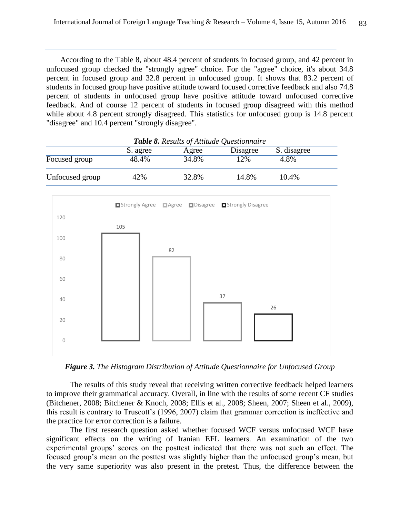According to the Table 8, about 48.4 percent of students in focused group, and 42 percent in unfocused group checked the "strongly agree" choice. For the "agree" choice, it's about 34.8 percent in focused group and 32.8 percent in unfocused group. It shows that 83.2 percent of students in focused group have positive attitude toward focused corrective feedback and also 74.8 percent of students in unfocused group have positive attitude toward unfocused corrective feedback. And of course 12 percent of students in focused group disagreed with this method while about 4.8 percent strongly disagreed. This statistics for unfocused group is 14.8 percent "disagree" and 10.4 percent "strongly disagree".

|                 |          | <b>Tuble 0.</b> Results of Thilland Questionnaire |          |             |  |
|-----------------|----------|---------------------------------------------------|----------|-------------|--|
|                 | S. agree | Agree                                             | Disagree | S. disagree |  |
| Focused group   | 48.4%    | 34.8%                                             | 12%      | 4.8%        |  |
| Unfocused group | 42%      | 32.8%                                             | 14.8%    | 10.4%       |  |

|  |  |  | Table 8. Results of Attitude Questionnaire |
|--|--|--|--------------------------------------------|
|--|--|--|--------------------------------------------|



*Figure 3. The Histogram Distribution of Attitude Questionnaire for Unfocused Group*

The results of this study reveal that receiving written corrective feedback helped learners to improve their grammatical accuracy. Overall, in line with the results of some recent CF studies (Bitchener, 2008; Bitchener & Knoch, 2008; Ellis et al., 2008; Sheen, 2007; Sheen et al., 2009), this result is contrary to Truscott's (1996, 2007) claim that grammar correction is ineffective and the practice for error correction is a failure.

The first research question asked whether focused WCF versus unfocused WCF have significant effects on the writing of Iranian EFL learners. An examination of the two experimental groups' scores on the posttest indicated that there was not such an effect. The focused group's mean on the posttest was slightly higher than the unfocused group's mean, but the very same superiority was also present in the pretest. Thus, the difference between the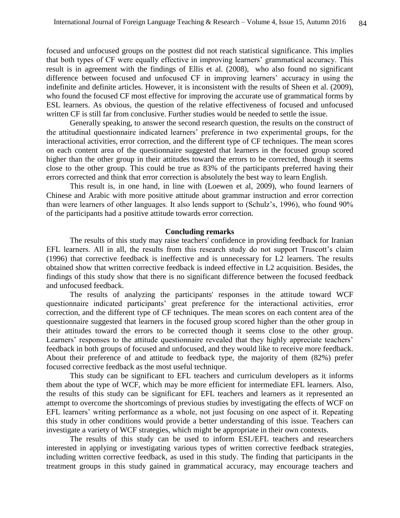focused and unfocused groups on the posttest did not reach statistical significance. This implies that both types of CF were equally effective in improving learners' grammatical accuracy. This result is in agreement with the findings of Ellis et al. (2008), who also found no significant difference between focused and unfocused CF in improving learners' accuracy in using the indefinite and definite articles. However, it is inconsistent with the results of Sheen et al. (2009), who found the focused CF most effective for improving the accurate use of grammatical forms by ESL learners. As obvious, the question of the relative effectiveness of focused and unfocused written CF is still far from conclusive. Further studies would be needed to settle the issue.

Generally speaking, to answer the second research question, the results on the construct of the attitudinal questionnaire indicated learners' preference in two experimental groups, for the interactional activities, error correction, and the different type of CF techniques. The mean scores on each content area of the questionnaire suggested that learners in the focused group scored higher than the other group in their attitudes toward the errors to be corrected, though it seems close to the other group. This could be true as 83% of the participants preferred having their errors corrected and think that error correction is absolutely the best way to learn English.

This result is, in one hand, in line with (Loewen et al, 2009), who found learners of Chinese and Arabic with more positive attitude about grammar instruction and error correction than were learners of other languages. It also lends support to (Schulz's, 1996), who found 90% of the participants had a positive attitude towards error correction.

#### **Concluding remarks**

The results of this study may raise teachers' confidence in providing feedback for Iranian EFL learners. All in all, the results from this research study do not support Truscott's claim (1996) that corrective feedback is ineffective and is unnecessary for L2 learners. The results obtained show that written corrective feedback is indeed effective in L2 acquisition. Besides, the findings of this study show that there is no significant difference between the focused feedback and unfocused feedback.

The results of analyzing the participants' responses in the attitude toward WCF questionnaire indicated participants' great preference for the interactional activities, error correction, and the different type of CF techniques. The mean scores on each content area of the questionnaire suggested that learners in the focused group scored higher than the other group in their attitudes toward the errors to be corrected though it seems close to the other group. Learners' responses to the attitude questionnaire revealed that they highly appreciate teachers' feedback in both groups of focused and unfocused, and they would like to receive more feedback. About their preference of and attitude to feedback type, the majority of them (82%) prefer focused corrective feedback as the most useful technique.

This study can be significant to EFL teachers and curriculum developers as it informs them about the type of WCF, which may be more efficient for intermediate EFL learners. Also, the results of this study can be significant for EFL teachers and learners as it represented an attempt to overcome the shortcomings of previous studies by investigating the effects of WCF on EFL learners' writing performance as a whole, not just focusing on one aspect of it. Repeating this study in other conditions would provide a better understanding of this issue. Teachers can investigate a variety of WCF strategies, which might be appropriate in their own contexts.

The results of this study can be used to inform ESL/EFL teachers and researchers interested in applying or investigating various types of written corrective feedback strategies, including written corrective feedback, as used in this study. The finding that participants in the treatment groups in this study gained in grammatical accuracy, may encourage teachers and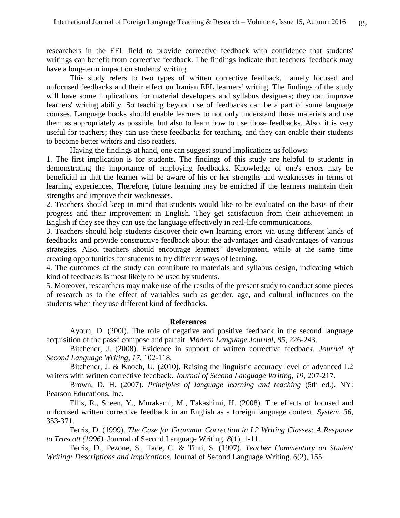researchers in the EFL field to provide corrective feedback with confidence that students' writings can benefit from corrective feedback. The findings indicate that teachers' feedback may have a long-term impact on students' writing.

This study refers to two types of written corrective feedback, namely focused and unfocused feedbacks and their effect on Iranian EFL learners' writing. The findings of the study will have some implications for material developers and syllabus designers; they can improve learners' writing ability. So teaching beyond use of feedbacks can be a part of some language courses. Language books should enable learners to not only understand those materials and use them as appropriately as possible, but also to learn how to use those feedbacks. Also, it is very useful for teachers; they can use these feedbacks for teaching, and they can enable their students to become better writers and also readers.

Having the findings at hand, one can suggest sound implications as follows:

1. The first implication is for students. The findings of this study are helpful to students in demonstrating the importance of employing feedbacks. Knowledge of one's errors may be beneficial in that the learner will be aware of his or her strengths and weaknesses in terms of learning experiences. Therefore, future learning may be enriched if the learners maintain their strengths and improve their weaknesses.

2. Teachers should keep in mind that students would like to be evaluated on the basis of their progress and their improvement in English. They get satisfaction from their achievement in English if they see they can use the language effectively in real-life communications.

3. Teachers should help students discover their own learning errors via using different kinds of feedbacks and provide constructive feedback about the advantages and disadvantages of various strategies. Also, teachers should encourage learners' development, while at the same time creating opportunities for students to try different ways of learning.

4. The outcomes of the study can contribute to materials and syllabus design, indicating which kind of feedbacks is most likely to be used by students.

5. Moreover, researchers may make use of the results of the present study to conduct some pieces of research as to the effect of variables such as gender, age, and cultural influences on the students when they use different kind of feedbacks.

#### **References**

Ayoun, D. (200l). The role of negative and positive feedback in the second language acquisition of the passé compose and parfait. *Modern Language Journal, 85*, 226-243.

Bitchener, J. (2008). Evidence in support of written corrective feedback. *Journal of Second Language Writing, 17,* 102-118.

Bitchener, J. & Knoch, U. (2010). Raising the linguistic accuracy level of advanced L2 writers with written corrective feedback. *Journal of Second Language Writing, 19,* 207-217.

Brown, D. H. (2007). *Principles of language learning and teaching* (5th ed.). NY: Pearson Educations, Inc.

Ellis, R., Sheen, Y., Murakami, M., Takashimi, H. (2008). The effects of focused and unfocused written corrective feedback in an English as a foreign language context. *System, 36*, 353-371.

Ferris, D. (1999). *The Case for Grammar Correction in L2 Writing Classes: A Response to Truscott (1996).* Journal of Second Language Writing. *8*(1), 1-11.

Ferris, D., Pezone, S., Tade, C. & Tinti, S. (1997). *Teacher Commentary on Student Writing: Descriptions and Implications.* Journal of Second Language Writing. *6*(2), 155.